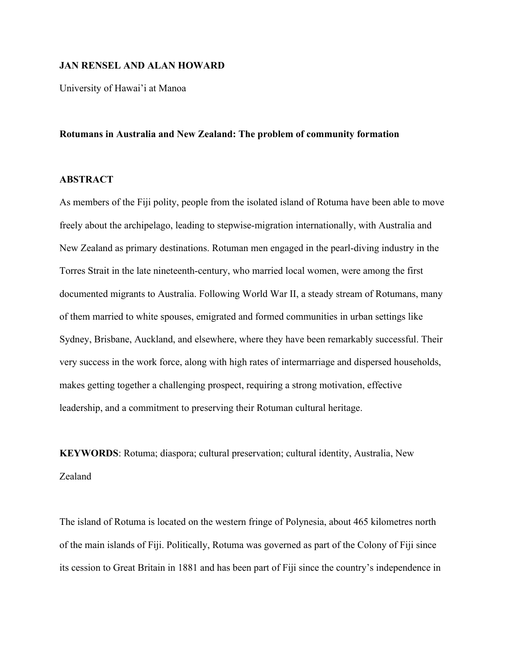### **JAN RENSEL AND ALAN HOWARD**

University of Hawai'i at Manoa

#### **Rotumans in Australia and New Zealand: The problem of community formation**

# **ABSTRACT**

As members of the Fiji polity, people from the isolated island of Rotuma have been able to move freely about the archipelago, leading to stepwise-migration internationally, with Australia and New Zealand as primary destinations. Rotuman men engaged in the pearl-diving industry in the Torres Strait in the late nineteenth-century, who married local women, were among the first documented migrants to Australia. Following World War II, a steady stream of Rotumans, many of them married to white spouses, emigrated and formed communities in urban settings like Sydney, Brisbane, Auckland, and elsewhere, where they have been remarkably successful. Their very success in the work force, along with high rates of intermarriage and dispersed households, makes getting together a challenging prospect, requiring a strong motivation, effective leadership, and a commitment to preserving their Rotuman cultural heritage.

**KEYWORDS**: Rotuma; diaspora; cultural preservation; cultural identity, Australia, New Zealand

The island of Rotuma is located on the western fringe of Polynesia, about 465 kilometres north of the main islands of Fiji. Politically, Rotuma was governed as part of the Colony of Fiji since its cession to Great Britain in 1881 and has been part of Fiji since the country's independence in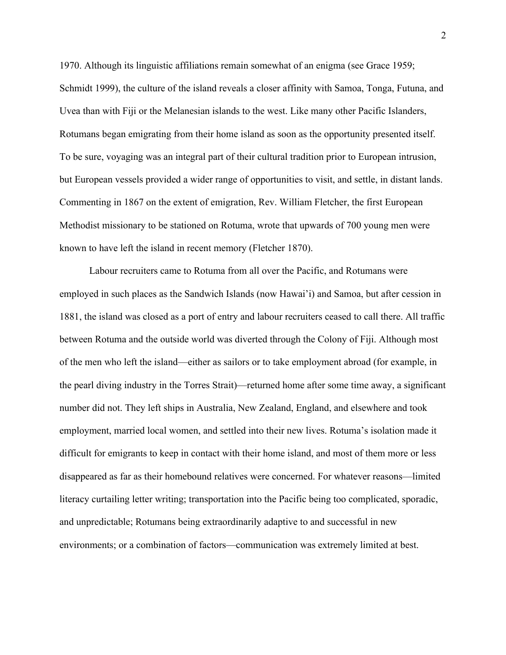1970. Although its linguistic affiliations remain somewhat of an enigma (see Grace 1959; Schmidt 1999), the culture of the island reveals a closer affinity with Samoa, Tonga, Futuna, and Uvea than with Fiji or the Melanesian islands to the west. Like many other Pacific Islanders, Rotumans began emigrating from their home island as soon as the opportunity presented itself. To be sure, voyaging was an integral part of their cultural tradition prior to European intrusion, but European vessels provided a wider range of opportunities to visit, and settle, in distant lands. Commenting in 1867 on the extent of emigration, Rev. William Fletcher, the first European Methodist missionary to be stationed on Rotuma, wrote that upwards of 700 young men were known to have left the island in recent memory (Fletcher 1870).

Labour recruiters came to Rotuma from all over the Pacific, and Rotumans were employed in such places as the Sandwich Islands (now Hawai'i) and Samoa, but after cession in 1881, the island was closed as a port of entry and labour recruiters ceased to call there. All traffic between Rotuma and the outside world was diverted through the Colony of Fiji. Although most of the men who left the island—either as sailors or to take employment abroad (for example, in the pearl diving industry in the Torres Strait)—returned home after some time away, a significant number did not. They left ships in Australia, New Zealand, England, and elsewhere and took employment, married local women, and settled into their new lives. Rotuma's isolation made it difficult for emigrants to keep in contact with their home island, and most of them more or less disappeared as far as their homebound relatives were concerned. For whatever reasons—limited literacy curtailing letter writing; transportation into the Pacific being too complicated, sporadic, and unpredictable; Rotumans being extraordinarily adaptive to and successful in new environments; or a combination of factors—communication was extremely limited at best.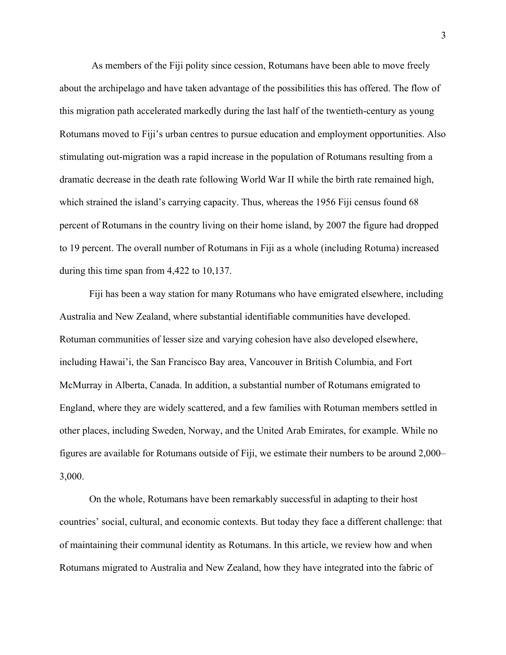As members of the Fiji polity since cession, Rotumans have been able to move freely about the archipelago and have taken advantage of the possibilities this has offered. The flow of this migration path accelerated markedly during the last half of the twentieth-century as young Rotumans moved to Fiji's urban centres to pursue education and employment opportunities. Also stimulating out-migration was a rapid increase in the population of Rotumans resulting from a dramatic decrease in the death rate following World War II while the birth rate remained high, which strained the island's carrying capacity. Thus, whereas the 1956 Fiji census found 68 percent of Rotumans in the country living on their home island, by 2007 the figure had dropped to 19 percent. The overall number of Rotumans in Fiji as a whole (including Rotuma) increased during this time span from 4,422 to 10,137.

Fiji has been a way station for many Rotumans who have emigrated elsewhere, including Australia and New Zealand, where substantial identifiable communities have developed. Rotuman communities of lesser size and varying cohesion have also developed elsewhere, including Hawai'i, the San Francisco Bay area, Vancouver in British Columbia, and Fort McMurray in Alberta, Canada. In addition, a substantial number of Rotumans emigrated to England, where they are widely scattered, and a few families with Rotuman members settled in other places, including Sweden, Norway, and the United Arab Emirates, for example. While no figures are available for Rotumans outside of Fiji, we estimate their numbers to be around 2,000– 3,000.

On the whole, Rotumans have been remarkably successful in adapting to their host countries' social, cultural, and economic contexts. But today they face a different challenge: that of maintaining their communal identity as Rotumans. In this article, we review how and when Rotumans migrated to Australia and New Zealand, how they have integrated into the fabric of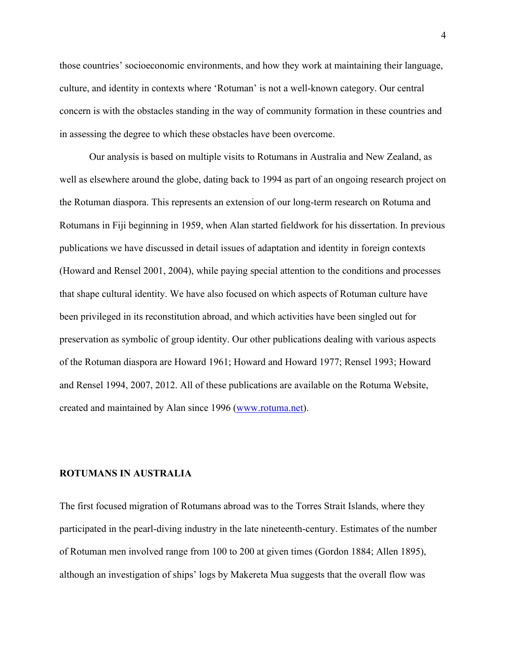those countries' socioeconomic environments, and how they work at maintaining their language, culture, and identity in contexts where 'Rotuman' is not a well-known category. Our central concern is with the obstacles standing in the way of community formation in these countries and in assessing the degree to which these obstacles have been overcome.

Our analysis is based on multiple visits to Rotumans in Australia and New Zealand, as well as elsewhere around the globe, dating back to 1994 as part of an ongoing research project on the Rotuman diaspora. This represents an extension of our long-term research on Rotuma and Rotumans in Fiji beginning in 1959, when Alan started fieldwork for his dissertation. In previous publications we have discussed in detail issues of adaptation and identity in foreign contexts (Howard and Rensel 2001, 2004), while paying special attention to the conditions and processes that shape cultural identity. We have also focused on which aspects of Rotuman culture have been privileged in its reconstitution abroad, and which activities have been singled out for preservation as symbolic of group identity. Our other publications dealing with various aspects of the Rotuman diaspora are Howard 1961; Howard and Howard 1977; Rensel 1993; Howard and Rensel 1994, 2007, 2012. All of these publications are available on the Rotuma Website, created and maintained by Alan since 1996 (www.rotuma.net).

# **ROTUMANS IN AUSTRALIA**

The first focused migration of Rotumans abroad was to the Torres Strait Islands, where they participated in the pearl-diving industry in the late nineteenth-century. Estimates of the number of Rotuman men involved range from 100 to 200 at given times (Gordon 1884; Allen 1895), although an investigation of ships' logs by Makereta Mua suggests that the overall flow was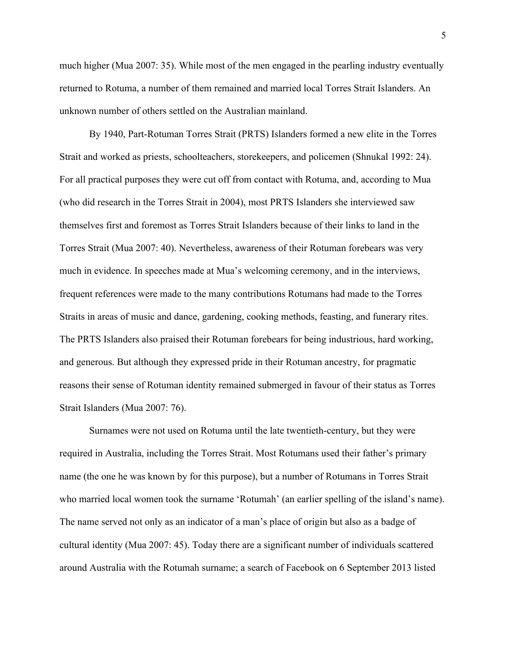much higher (Mua 2007: 35). While most of the men engaged in the pearling industry eventually returned to Rotuma, a number of them remained and married local Torres Strait Islanders. An unknown number of others settled on the Australian mainland.

By 1940, Part-Rotuman Torres Strait (PRTS) Islanders formed a new elite in the Torres Strait and worked as priests, schoolteachers, storekeepers, and policemen (Shnukal 1992: 24). For all practical purposes they were cut off from contact with Rotuma, and, according to Mua (who did research in the Torres Strait in 2004), most PRTS Islanders she interviewed saw themselves first and foremost as Torres Strait Islanders because of their links to land in the Torres Strait (Mua 2007: 40). Nevertheless, awareness of their Rotuman forebears was very much in evidence. In speeches made at Mua's welcoming ceremony, and in the interviews, frequent references were made to the many contributions Rotumans had made to the Torres Straits in areas of music and dance, gardening, cooking methods, feasting, and funerary rites. The PRTS Islanders also praised their Rotuman forebears for being industrious, hard working, and generous. But although they expressed pride in their Rotuman ancestry, for pragmatic reasons their sense of Rotuman identity remained submerged in favour of their status as Torres Strait Islanders (Mua 2007: 76).

Surnames were not used on Rotuma until the late twentieth-century, but they were required in Australia, including the Torres Strait. Most Rotumans used their father's primary name (the one he was known by for this purpose), but a number of Rotumans in Torres Strait who married local women took the surname 'Rotumah' (an earlier spelling of the island's name). The name served not only as an indicator of a man's place of origin but also as a badge of cultural identity (Mua 2007: 45). Today there are a significant number of individuals scattered around Australia with the Rotumah surname; a search of Facebook on 6 September 2013 listed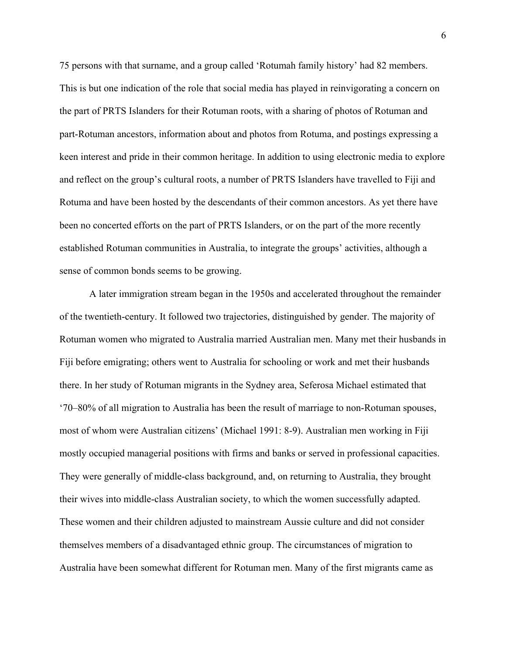75 persons with that surname, and a group called 'Rotumah family history' had 82 members. This is but one indication of the role that social media has played in reinvigorating a concern on the part of PRTS Islanders for their Rotuman roots, with a sharing of photos of Rotuman and part-Rotuman ancestors, information about and photos from Rotuma, and postings expressing a keen interest and pride in their common heritage. In addition to using electronic media to explore and reflect on the group's cultural roots, a number of PRTS Islanders have travelled to Fiji and Rotuma and have been hosted by the descendants of their common ancestors. As yet there have been no concerted efforts on the part of PRTS Islanders, or on the part of the more recently established Rotuman communities in Australia, to integrate the groups' activities, although a sense of common bonds seems to be growing.

A later immigration stream began in the 1950s and accelerated throughout the remainder of the twentieth-century. It followed two trajectories, distinguished by gender. The majority of Rotuman women who migrated to Australia married Australian men. Many met their husbands in Fiji before emigrating; others went to Australia for schooling or work and met their husbands there. In her study of Rotuman migrants in the Sydney area, Seferosa Michael estimated that '70–80% of all migration to Australia has been the result of marriage to non-Rotuman spouses, most of whom were Australian citizens' (Michael 1991: 8-9). Australian men working in Fiji mostly occupied managerial positions with firms and banks or served in professional capacities. They were generally of middle-class background, and, on returning to Australia, they brought their wives into middle-class Australian society, to which the women successfully adapted. These women and their children adjusted to mainstream Aussie culture and did not consider themselves members of a disadvantaged ethnic group. The circumstances of migration to Australia have been somewhat different for Rotuman men. Many of the first migrants came as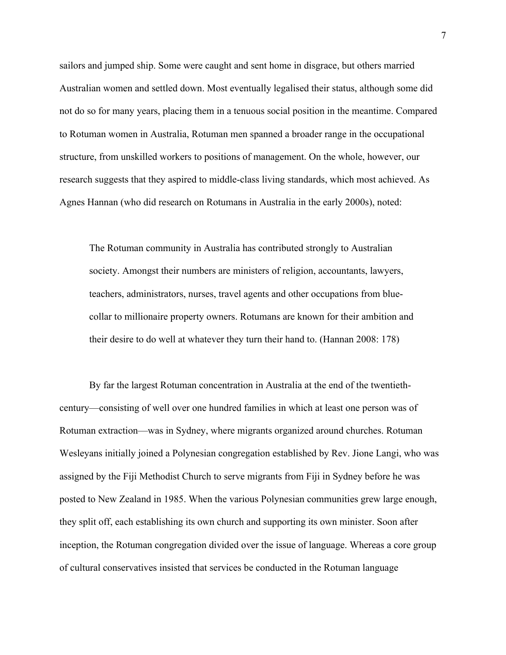sailors and jumped ship. Some were caught and sent home in disgrace, but others married Australian women and settled down. Most eventually legalised their status, although some did not do so for many years, placing them in a tenuous social position in the meantime. Compared to Rotuman women in Australia, Rotuman men spanned a broader range in the occupational structure, from unskilled workers to positions of management. On the whole, however, our research suggests that they aspired to middle-class living standards, which most achieved. As Agnes Hannan (who did research on Rotumans in Australia in the early 2000s), noted:

The Rotuman community in Australia has contributed strongly to Australian society. Amongst their numbers are ministers of religion, accountants, lawyers, teachers, administrators, nurses, travel agents and other occupations from bluecollar to millionaire property owners. Rotumans are known for their ambition and their desire to do well at whatever they turn their hand to. (Hannan 2008: 178)

By far the largest Rotuman concentration in Australia at the end of the twentiethcentury—consisting of well over one hundred families in which at least one person was of Rotuman extraction—was in Sydney, where migrants organized around churches. Rotuman Wesleyans initially joined a Polynesian congregation established by Rev. Jione Langi, who was assigned by the Fiji Methodist Church to serve migrants from Fiji in Sydney before he was posted to New Zealand in 1985. When the various Polynesian communities grew large enough, they split off, each establishing its own church and supporting its own minister. Soon after inception, the Rotuman congregation divided over the issue of language. Whereas a core group of cultural conservatives insisted that services be conducted in the Rotuman language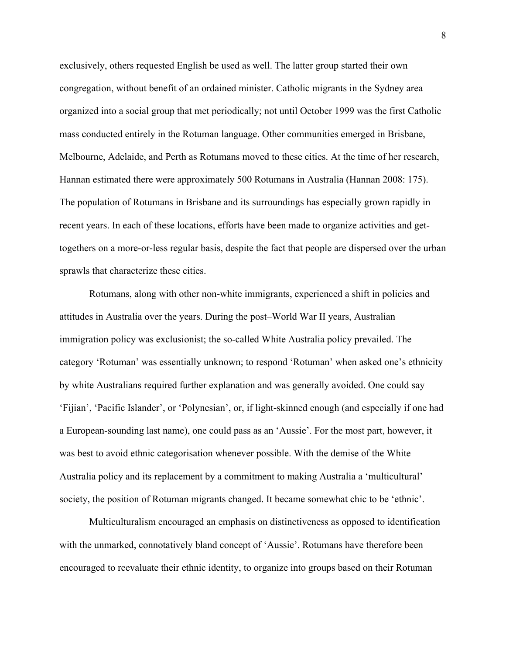exclusively, others requested English be used as well. The latter group started their own congregation, without benefit of an ordained minister. Catholic migrants in the Sydney area organized into a social group that met periodically; not until October 1999 was the first Catholic mass conducted entirely in the Rotuman language. Other communities emerged in Brisbane, Melbourne, Adelaide, and Perth as Rotumans moved to these cities. At the time of her research, Hannan estimated there were approximately 500 Rotumans in Australia (Hannan 2008: 175). The population of Rotumans in Brisbane and its surroundings has especially grown rapidly in recent years. In each of these locations, efforts have been made to organize activities and gettogethers on a more-or-less regular basis, despite the fact that people are dispersed over the urban sprawls that characterize these cities.

Rotumans, along with other non-white immigrants, experienced a shift in policies and attitudes in Australia over the years. During the post–World War II years, Australian immigration policy was exclusionist; the so-called White Australia policy prevailed. The category 'Rotuman' was essentially unknown; to respond 'Rotuman' when asked one's ethnicity by white Australians required further explanation and was generally avoided. One could say 'Fijian', 'Pacific Islander', or 'Polynesian', or, if light-skinned enough (and especially if one had a European-sounding last name), one could pass as an 'Aussie'. For the most part, however, it was best to avoid ethnic categorisation whenever possible. With the demise of the White Australia policy and its replacement by a commitment to making Australia a 'multicultural' society, the position of Rotuman migrants changed. It became somewhat chic to be 'ethnic'.

Multiculturalism encouraged an emphasis on distinctiveness as opposed to identification with the unmarked, connotatively bland concept of 'Aussie'. Rotumans have therefore been encouraged to reevaluate their ethnic identity, to organize into groups based on their Rotuman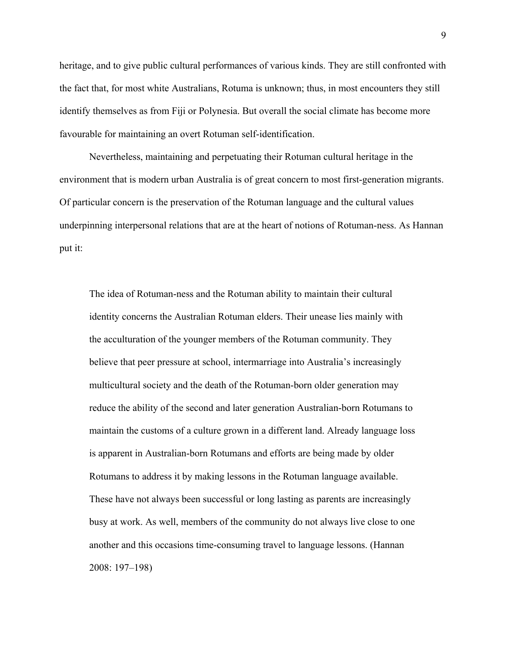heritage, and to give public cultural performances of various kinds. They are still confronted with the fact that, for most white Australians, Rotuma is unknown; thus, in most encounters they still identify themselves as from Fiji or Polynesia. But overall the social climate has become more favourable for maintaining an overt Rotuman self-identification.

Nevertheless, maintaining and perpetuating their Rotuman cultural heritage in the environment that is modern urban Australia is of great concern to most first-generation migrants. Of particular concern is the preservation of the Rotuman language and the cultural values underpinning interpersonal relations that are at the heart of notions of Rotuman-ness. As Hannan put it:

The idea of Rotuman-ness and the Rotuman ability to maintain their cultural identity concerns the Australian Rotuman elders. Their unease lies mainly with the acculturation of the younger members of the Rotuman community. They believe that peer pressure at school, intermarriage into Australia's increasingly multicultural society and the death of the Rotuman-born older generation may reduce the ability of the second and later generation Australian-born Rotumans to maintain the customs of a culture grown in a different land. Already language loss is apparent in Australian-born Rotumans and efforts are being made by older Rotumans to address it by making lessons in the Rotuman language available. These have not always been successful or long lasting as parents are increasingly busy at work. As well, members of the community do not always live close to one another and this occasions time-consuming travel to language lessons. (Hannan 2008: 197–198)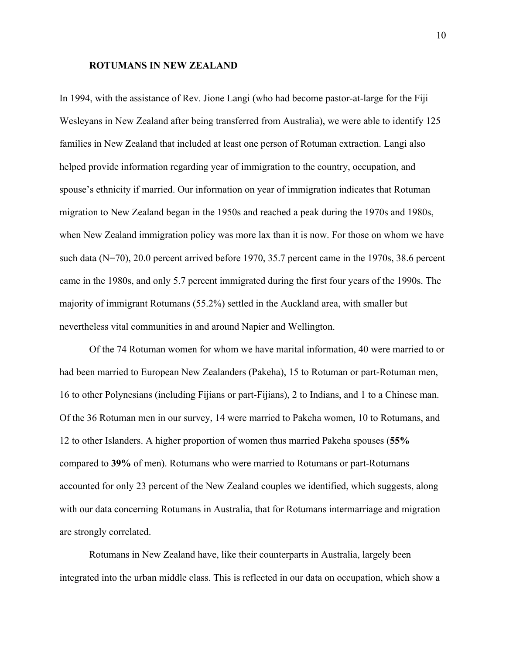#### **ROTUMANS IN NEW ZEALAND**

In 1994, with the assistance of Rev. Jione Langi (who had become pastor-at-large for the Fiji Wesleyans in New Zealand after being transferred from Australia), we were able to identify 125 families in New Zealand that included at least one person of Rotuman extraction. Langi also helped provide information regarding year of immigration to the country, occupation, and spouse's ethnicity if married. Our information on year of immigration indicates that Rotuman migration to New Zealand began in the 1950s and reached a peak during the 1970s and 1980s, when New Zealand immigration policy was more lax than it is now. For those on whom we have such data (N=70), 20.0 percent arrived before 1970, 35.7 percent came in the 1970s, 38.6 percent came in the 1980s, and only 5.7 percent immigrated during the first four years of the 1990s. The majority of immigrant Rotumans (55.2%) settled in the Auckland area, with smaller but nevertheless vital communities in and around Napier and Wellington.

Of the 74 Rotuman women for whom we have marital information, 40 were married to or had been married to European New Zealanders (Pakeha), 15 to Rotuman or part-Rotuman men, 16 to other Polynesians (including Fijians or part-Fijians), 2 to Indians, and 1 to a Chinese man. Of the 36 Rotuman men in our survey, 14 were married to Pakeha women, 10 to Rotumans, and 12 to other Islanders. A higher proportion of women thus married Pakeha spouses (**55%** compared to **39%** of men). Rotumans who were married to Rotumans or part-Rotumans accounted for only 23 percent of the New Zealand couples we identified, which suggests, along with our data concerning Rotumans in Australia, that for Rotumans intermarriage and migration are strongly correlated.

Rotumans in New Zealand have, like their counterparts in Australia, largely been integrated into the urban middle class. This is reflected in our data on occupation, which show a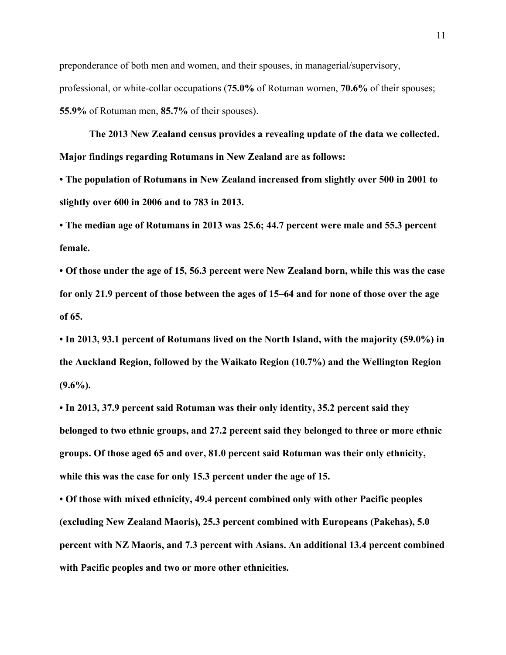preponderance of both men and women, and their spouses, in managerial/supervisory, professional, or white-collar occupations (**75.0%** of Rotuman women, **70.6%** of their spouses; **55.9%** of Rotuman men, **85.7%** of their spouses).

**The 2013 New Zealand census provides a revealing update of the data we collected. Major findings regarding Rotumans in New Zealand are as follows:** 

**• The population of Rotumans in New Zealand increased from slightly over 500 in 2001 to slightly over 600 in 2006 and to 783 in 2013.** 

**• The median age of Rotumans in 2013 was 25.6; 44.7 percent were male and 55.3 percent female.** 

**• Of those under the age of 15, 56.3 percent were New Zealand born, while this was the case for only 21.9 percent of those between the ages of 15–64 and for none of those over the age of 65.** 

**• In 2013, 93.1 percent of Rotumans lived on the North Island, with the majority (59.0%) in the Auckland Region, followed by the Waikato Region (10.7%) and the Wellington Region (9.6%).** 

**• In 2013, 37.9 percent said Rotuman was their only identity, 35.2 percent said they belonged to two ethnic groups, and 27.2 percent said they belonged to three or more ethnic groups. Of those aged 65 and over, 81.0 percent said Rotuman was their only ethnicity, while this was the case for only 15.3 percent under the age of 15.** 

**• Of those with mixed ethnicity, 49.4 percent combined only with other Pacific peoples (excluding New Zealand Maoris), 25.3 percent combined with Europeans (Pakehas), 5.0 percent with NZ Maoris, and 7.3 percent with Asians. An additional 13.4 percent combined with Pacific peoples and two or more other ethnicities.**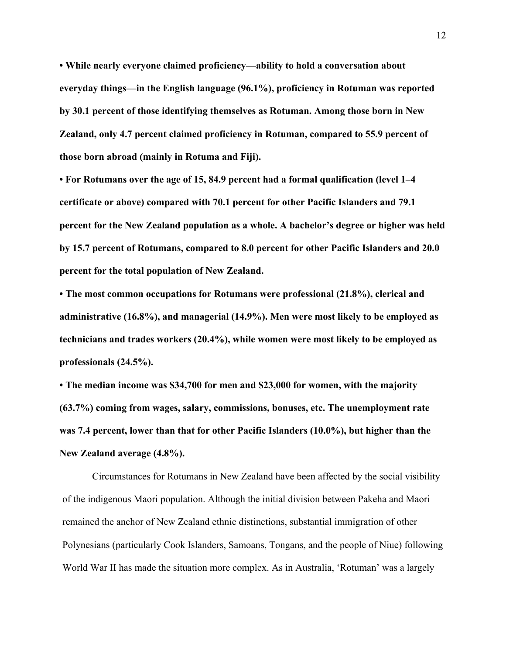**• While nearly everyone claimed proficiency—ability to hold a conversation about everyday things—in the English language (96.1%), proficiency in Rotuman was reported by 30.1 percent of those identifying themselves as Rotuman. Among those born in New Zealand, only 4.7 percent claimed proficiency in Rotuman, compared to 55.9 percent of those born abroad (mainly in Rotuma and Fiji).** 

**• For Rotumans over the age of 15, 84.9 percent had a formal qualification (level 1–4 certificate or above) compared with 70.1 percent for other Pacific Islanders and 79.1 percent for the New Zealand population as a whole. A bachelor's degree or higher was held by 15.7 percent of Rotumans, compared to 8.0 percent for other Pacific Islanders and 20.0 percent for the total population of New Zealand.** 

**• The most common occupations for Rotumans were professional (21.8%), clerical and administrative (16.8%), and managerial (14.9%). Men were most likely to be employed as technicians and trades workers (20.4%), while women were most likely to be employed as professionals (24.5%).** 

**• The median income was \$34,700 for men and \$23,000 for women, with the majority (63.7%) coming from wages, salary, commissions, bonuses, etc. The unemployment rate was 7.4 percent, lower than that for other Pacific Islanders (10.0%), but higher than the New Zealand average (4.8%).**

Circumstances for Rotumans in New Zealand have been affected by the social visibility of the indigenous Maori population. Although the initial division between Pakeha and Maori remained the anchor of New Zealand ethnic distinctions, substantial immigration of other Polynesians (particularly Cook Islanders, Samoans, Tongans, and the people of Niue) following World War II has made the situation more complex. As in Australia, 'Rotuman' was a largely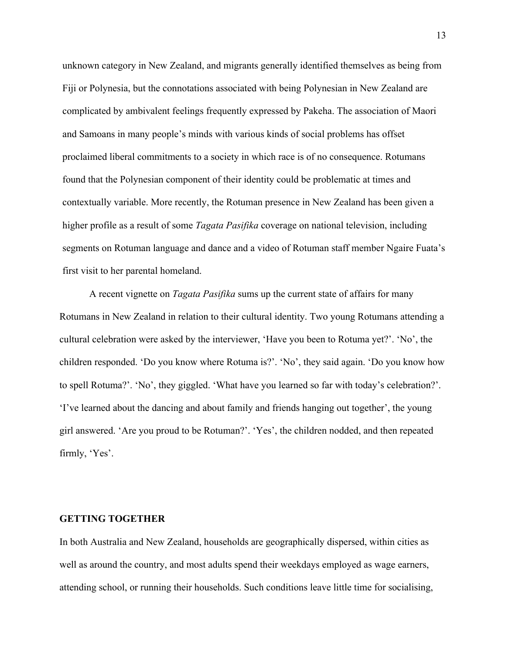unknown category in New Zealand, and migrants generally identified themselves as being from Fiji or Polynesia, but the connotations associated with being Polynesian in New Zealand are complicated by ambivalent feelings frequently expressed by Pakeha. The association of Maori and Samoans in many people's minds with various kinds of social problems has offset proclaimed liberal commitments to a society in which race is of no consequence. Rotumans found that the Polynesian component of their identity could be problematic at times and contextually variable. More recently, the Rotuman presence in New Zealand has been given a higher profile as a result of some *Tagata Pasifika* coverage on national television, including segments on Rotuman language and dance and a video of Rotuman staff member Ngaire Fuata's first visit to her parental homeland.

A recent vignette on *Tagata Pasifika* sums up the current state of affairs for many Rotumans in New Zealand in relation to their cultural identity. Two young Rotumans attending a cultural celebration were asked by the interviewer, 'Have you been to Rotuma yet?'. 'No', the children responded. 'Do you know where Rotuma is?'. 'No', they said again. 'Do you know how to spell Rotuma?'. 'No', they giggled. 'What have you learned so far with today's celebration?'. 'I've learned about the dancing and about family and friends hanging out together', the young girl answered. 'Are you proud to be Rotuman?'. 'Yes', the children nodded, and then repeated firmly, 'Yes'.

# **GETTING TOGETHER**

In both Australia and New Zealand, households are geographically dispersed, within cities as well as around the country, and most adults spend their weekdays employed as wage earners, attending school, or running their households. Such conditions leave little time for socialising,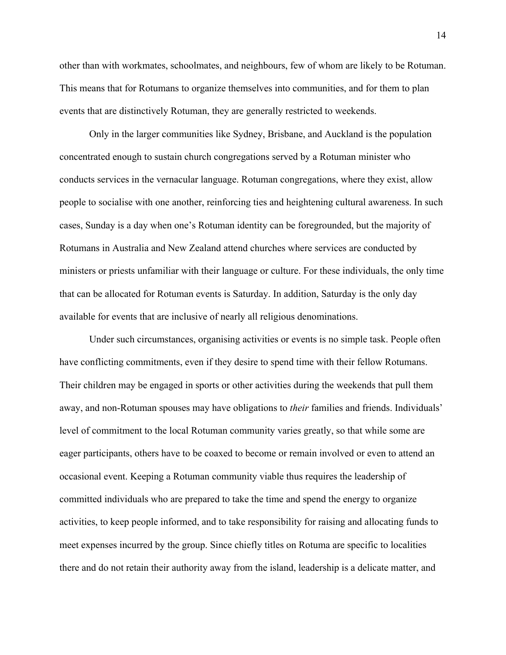other than with workmates, schoolmates, and neighbours, few of whom are likely to be Rotuman. This means that for Rotumans to organize themselves into communities, and for them to plan events that are distinctively Rotuman, they are generally restricted to weekends.

Only in the larger communities like Sydney, Brisbane, and Auckland is the population concentrated enough to sustain church congregations served by a Rotuman minister who conducts services in the vernacular language. Rotuman congregations, where they exist, allow people to socialise with one another, reinforcing ties and heightening cultural awareness. In such cases, Sunday is a day when one's Rotuman identity can be foregrounded, but the majority of Rotumans in Australia and New Zealand attend churches where services are conducted by ministers or priests unfamiliar with their language or culture. For these individuals, the only time that can be allocated for Rotuman events is Saturday. In addition, Saturday is the only day available for events that are inclusive of nearly all religious denominations.

Under such circumstances, organising activities or events is no simple task. People often have conflicting commitments, even if they desire to spend time with their fellow Rotumans. Their children may be engaged in sports or other activities during the weekends that pull them away, and non-Rotuman spouses may have obligations to *their* families and friends. Individuals' level of commitment to the local Rotuman community varies greatly, so that while some are eager participants, others have to be coaxed to become or remain involved or even to attend an occasional event. Keeping a Rotuman community viable thus requires the leadership of committed individuals who are prepared to take the time and spend the energy to organize activities, to keep people informed, and to take responsibility for raising and allocating funds to meet expenses incurred by the group. Since chiefly titles on Rotuma are specific to localities there and do not retain their authority away from the island, leadership is a delicate matter, and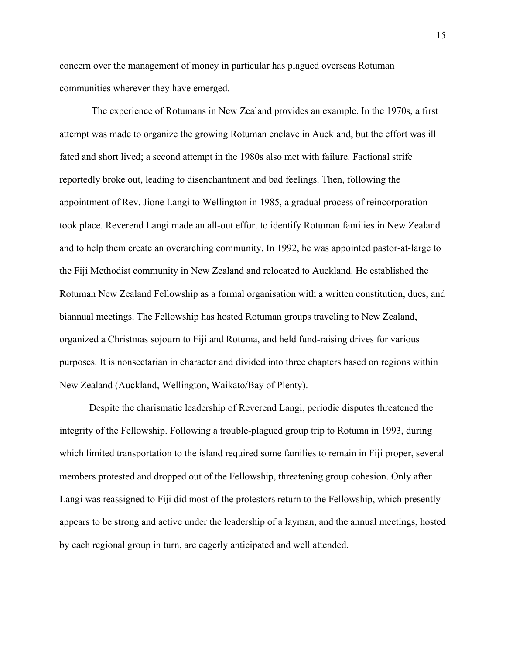concern over the management of money in particular has plagued overseas Rotuman communities wherever they have emerged.

 The experience of Rotumans in New Zealand provides an example. In the 1970s, a first attempt was made to organize the growing Rotuman enclave in Auckland, but the effort was ill fated and short lived; a second attempt in the 1980s also met with failure. Factional strife reportedly broke out, leading to disenchantment and bad feelings. Then, following the appointment of Rev. Jione Langi to Wellington in 1985, a gradual process of reincorporation took place. Reverend Langi made an all-out effort to identify Rotuman families in New Zealand and to help them create an overarching community. In 1992, he was appointed pastor-at-large to the Fiji Methodist community in New Zealand and relocated to Auckland. He established the Rotuman New Zealand Fellowship as a formal organisation with a written constitution, dues, and biannual meetings. The Fellowship has hosted Rotuman groups traveling to New Zealand, organized a Christmas sojourn to Fiji and Rotuma, and held fund-raising drives for various purposes. It is nonsectarian in character and divided into three chapters based on regions within New Zealand (Auckland, Wellington, Waikato/Bay of Plenty).

Despite the charismatic leadership of Reverend Langi, periodic disputes threatened the integrity of the Fellowship. Following a trouble-plagued group trip to Rotuma in 1993, during which limited transportation to the island required some families to remain in Fiji proper, several members protested and dropped out of the Fellowship, threatening group cohesion. Only after Langi was reassigned to Fiji did most of the protestors return to the Fellowship, which presently appears to be strong and active under the leadership of a layman, and the annual meetings, hosted by each regional group in turn, are eagerly anticipated and well attended.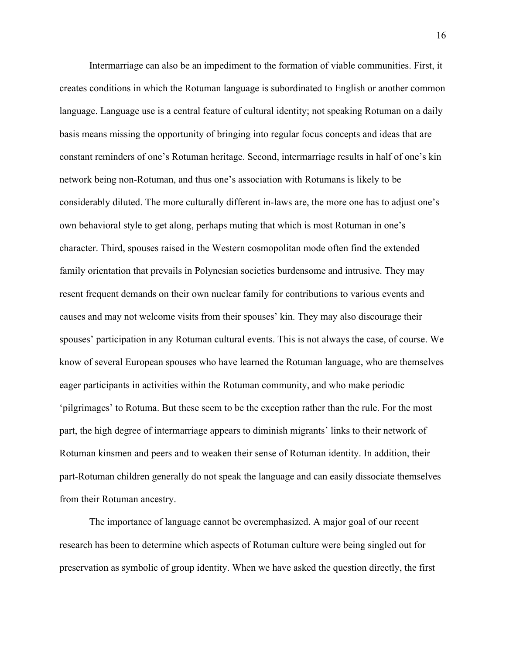Intermarriage can also be an impediment to the formation of viable communities. First, it creates conditions in which the Rotuman language is subordinated to English or another common language. Language use is a central feature of cultural identity; not speaking Rotuman on a daily basis means missing the opportunity of bringing into regular focus concepts and ideas that are constant reminders of one's Rotuman heritage. Second, intermarriage results in half of one's kin network being non-Rotuman, and thus one's association with Rotumans is likely to be considerably diluted. The more culturally different in-laws are, the more one has to adjust one's own behavioral style to get along, perhaps muting that which is most Rotuman in one's character. Third, spouses raised in the Western cosmopolitan mode often find the extended family orientation that prevails in Polynesian societies burdensome and intrusive. They may resent frequent demands on their own nuclear family for contributions to various events and causes and may not welcome visits from their spouses' kin. They may also discourage their spouses' participation in any Rotuman cultural events. This is not always the case, of course. We know of several European spouses who have learned the Rotuman language, who are themselves eager participants in activities within the Rotuman community, and who make periodic 'pilgrimages' to Rotuma. But these seem to be the exception rather than the rule. For the most part, the high degree of intermarriage appears to diminish migrants' links to their network of Rotuman kinsmen and peers and to weaken their sense of Rotuman identity. In addition, their part-Rotuman children generally do not speak the language and can easily dissociate themselves from their Rotuman ancestry.

The importance of language cannot be overemphasized. A major goal of our recent research has been to determine which aspects of Rotuman culture were being singled out for preservation as symbolic of group identity. When we have asked the question directly, the first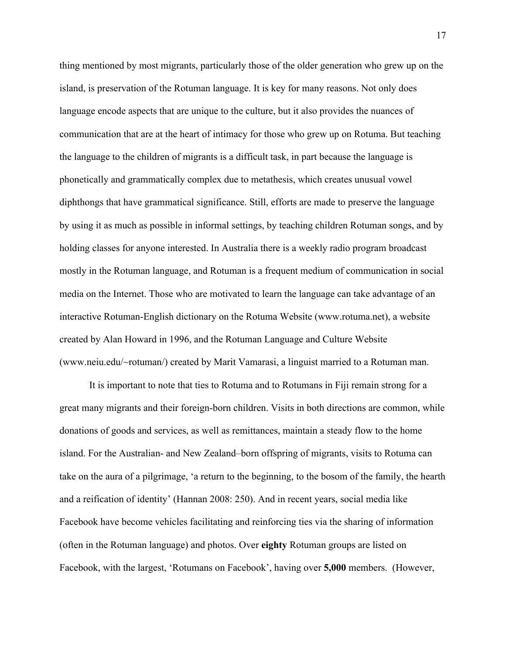thing mentioned by most migrants, particularly those of the older generation who grew up on the island, is preservation of the Rotuman language. It is key for many reasons. Not only does language encode aspects that are unique to the culture, but it also provides the nuances of communication that are at the heart of intimacy for those who grew up on Rotuma. But teaching the language to the children of migrants is a difficult task, in part because the language is phonetically and grammatically complex due to metathesis, which creates unusual vowel diphthongs that have grammatical significance. Still, efforts are made to preserve the language by using it as much as possible in informal settings, by teaching children Rotuman songs, and by holding classes for anyone interested. In Australia there is a weekly radio program broadcast mostly in the Rotuman language, and Rotuman is a frequent medium of communication in social media on the Internet. Those who are motivated to learn the language can take advantage of an interactive Rotuman-English dictionary on the Rotuma Website (www.rotuma.net), a website created by Alan Howard in 1996, and the Rotuman Language and Culture Website (www.neiu.edu/~rotuman/) created by Marit Vamarasi, a linguist married to a Rotuman man.

It is important to note that ties to Rotuma and to Rotumans in Fiji remain strong for a great many migrants and their foreign-born children. Visits in both directions are common, while donations of goods and services, as well as remittances, maintain a steady flow to the home island. For the Australian- and New Zealand–born offspring of migrants, visits to Rotuma can take on the aura of a pilgrimage, 'a return to the beginning, to the bosom of the family, the hearth and a reification of identity' (Hannan 2008: 250). And in recent years, social media like Facebook have become vehicles facilitating and reinforcing ties via the sharing of information (often in the Rotuman language) and photos. Over **eighty** Rotuman groups are listed on Facebook, with the largest, 'Rotumans on Facebook', having over **5,000** members. (However,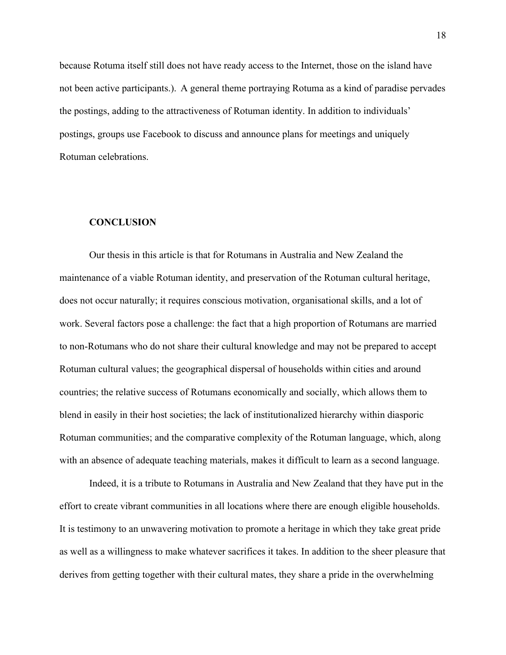because Rotuma itself still does not have ready access to the Internet, those on the island have not been active participants.). A general theme portraying Rotuma as a kind of paradise pervades the postings, adding to the attractiveness of Rotuman identity. In addition to individuals' postings, groups use Facebook to discuss and announce plans for meetings and uniquely Rotuman celebrations.

## **CONCLUSION**

Our thesis in this article is that for Rotumans in Australia and New Zealand the maintenance of a viable Rotuman identity, and preservation of the Rotuman cultural heritage, does not occur naturally; it requires conscious motivation, organisational skills, and a lot of work. Several factors pose a challenge: the fact that a high proportion of Rotumans are married to non-Rotumans who do not share their cultural knowledge and may not be prepared to accept Rotuman cultural values; the geographical dispersal of households within cities and around countries; the relative success of Rotumans economically and socially, which allows them to blend in easily in their host societies; the lack of institutionalized hierarchy within diasporic Rotuman communities; and the comparative complexity of the Rotuman language, which, along with an absence of adequate teaching materials, makes it difficult to learn as a second language.

Indeed, it is a tribute to Rotumans in Australia and New Zealand that they have put in the effort to create vibrant communities in all locations where there are enough eligible households. It is testimony to an unwavering motivation to promote a heritage in which they take great pride as well as a willingness to make whatever sacrifices it takes. In addition to the sheer pleasure that derives from getting together with their cultural mates, they share a pride in the overwhelming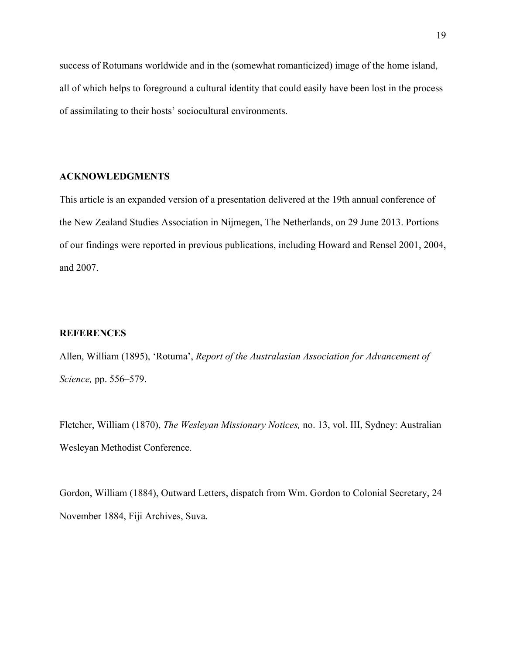success of Rotumans worldwide and in the (somewhat romanticized) image of the home island, all of which helps to foreground a cultural identity that could easily have been lost in the process of assimilating to their hosts' sociocultural environments.

# **ACKNOWLEDGMENTS**

This article is an expanded version of a presentation delivered at the 19th annual conference of the New Zealand Studies Association in Nijmegen, The Netherlands, on 29 June 2013. Portions of our findings were reported in previous publications, including Howard and Rensel 2001, 2004, and 2007.

# **REFERENCES**

Allen, William (1895), 'Rotuma', *Report of the Australasian Association for Advancement of Science,* pp. 556–579.

Fletcher, William (1870), *The Wesleyan Missionary Notices,* no. 13, vol. III, Sydney: Australian Wesleyan Methodist Conference.

Gordon, William (1884), Outward Letters, dispatch from Wm. Gordon to Colonial Secretary, 24 November 1884, Fiji Archives, Suva.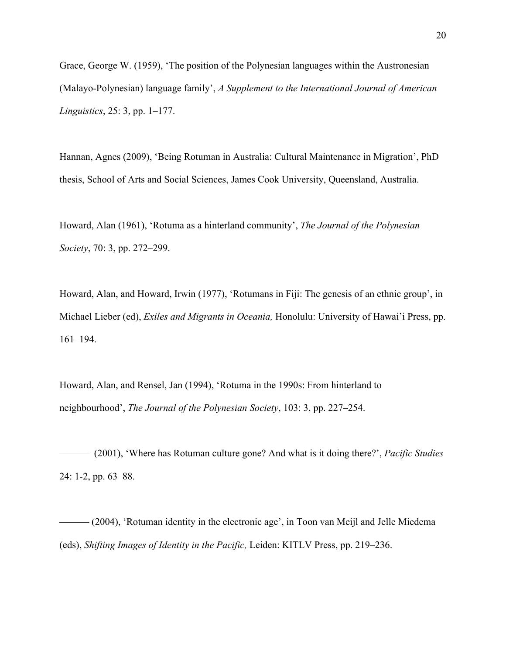Grace, George W. (1959), 'The position of the Polynesian languages within the Austronesian (Malayo-Polynesian) language family', *A Supplement to the International Journal of American Linguistics*, 25: 3, pp. 1–177.

Hannan, Agnes (2009), 'Being Rotuman in Australia: Cultural Maintenance in Migration', PhD thesis, School of Arts and Social Sciences, James Cook University, Queensland, Australia.

Howard, Alan (1961), 'Rotuma as a hinterland community', *The Journal of the Polynesian Society*, 70: 3, pp. 272–299.

Howard, Alan, and Howard, Irwin (1977), 'Rotumans in Fiji: The genesis of an ethnic group', in Michael Lieber (ed), *Exiles and Migrants in Oceania,* Honolulu: University of Hawai'i Press, pp. 161–194.

Howard, Alan, and Rensel, Jan (1994), 'Rotuma in the 1990s: From hinterland to neighbourhood', *The Journal of the Polynesian Society*, 103: 3, pp. 227–254.

——— (2001), 'Where has Rotuman culture gone? And what is it doing there?', *Pacific Studies*  24: 1-2, pp. 63–88.

——— (2004), 'Rotuman identity in the electronic age', in Toon van Meijl and Jelle Miedema (eds), *Shifting Images of Identity in the Pacific,* Leiden: KITLV Press, pp. 219–236.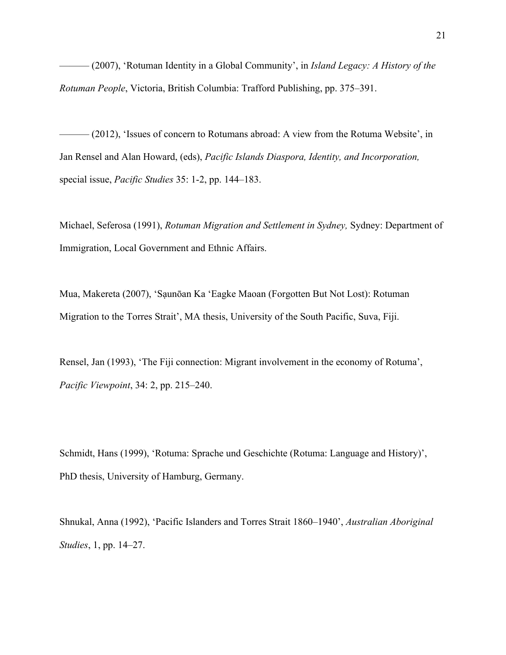——— (2007), 'Rotuman Identity in a Global Community', in *Island Legacy: A History of the Rotuman People*, Victoria, British Columbia: Trafford Publishing, pp. 375–391.

——— (2012), 'Issues of concern to Rotumans abroad: A view from the Rotuma Website', in Jan Rensel and Alan Howard, (eds), *Pacific Islands Diaspora, Identity, and Incorporation,* special issue, *Pacific Studies* 35: 1-2, pp. 144–183.

Michael, Seferosa (1991), *Rotuman Migration and Settlement in Sydney,* Sydney: Department of Immigration, Local Government and Ethnic Affairs.

Mua, Makereta (2007), 'Sạunōan Ka 'Eagke Maoan (Forgotten But Not Lost): Rotuman Migration to the Torres Strait', MA thesis, University of the South Pacific, Suva, Fiji.

Rensel, Jan (1993), 'The Fiji connection: Migrant involvement in the economy of Rotuma', *Pacific Viewpoint*, 34: 2, pp. 215–240.

Schmidt, Hans (1999), 'Rotuma: Sprache und Geschichte (Rotuma: Language and History)', PhD thesis, University of Hamburg, Germany.

Shnukal, Anna (1992), 'Pacific Islanders and Torres Strait 1860–1940', *Australian Aboriginal Studies*, 1, pp. 14–27.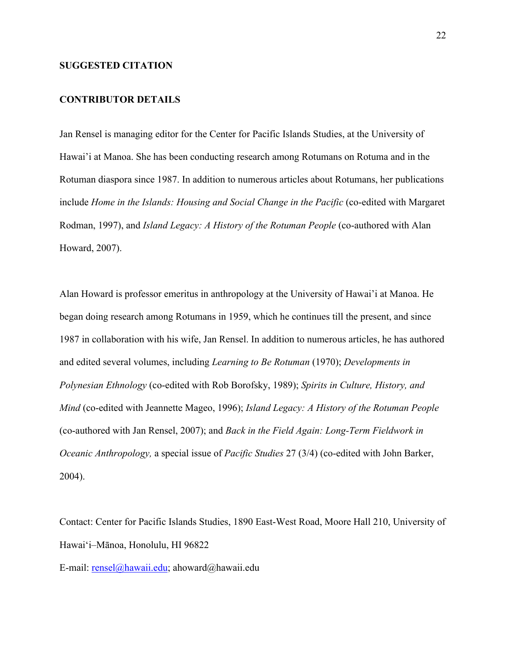# **SUGGESTED CITATION**

## **CONTRIBUTOR DETAILS**

Jan Rensel is managing editor for the Center for Pacific Islands Studies, at the University of Hawai'i at Manoa. She has been conducting research among Rotumans on Rotuma and in the Rotuman diaspora since 1987. In addition to numerous articles about Rotumans, her publications include *Home in the Islands: Housing and Social Change in the Pacific* (co-edited with Margaret Rodman, 1997), and *Island Legacy: A History of the Rotuman People* (co-authored with Alan Howard, 2007).

Alan Howard is professor emeritus in anthropology at the University of Hawai'i at Manoa. He began doing research among Rotumans in 1959, which he continues till the present, and since 1987 in collaboration with his wife, Jan Rensel. In addition to numerous articles, he has authored and edited several volumes, including *Learning to Be Rotuman* (1970); *Developments in Polynesian Ethnology* (co-edited with Rob Borofsky, 1989); *Spirits in Culture, History, and Mind* (co-edited with Jeannette Mageo, 1996); *Island Legacy: A History of the Rotuman People* (co-authored with Jan Rensel, 2007); and *Back in the Field Again: Long-Term Fieldwork in Oceanic Anthropology,* a special issue of *Pacific Studies* 27 (3/4) (co-edited with John Barker, 2004).

Contact: Center for Pacific Islands Studies, 1890 East-West Road, Moore Hall 210, University of Hawai'i–Mānoa, Honolulu, HI 96822

E-mail: rensel@hawaii.edu; ahoward@hawaii.edu